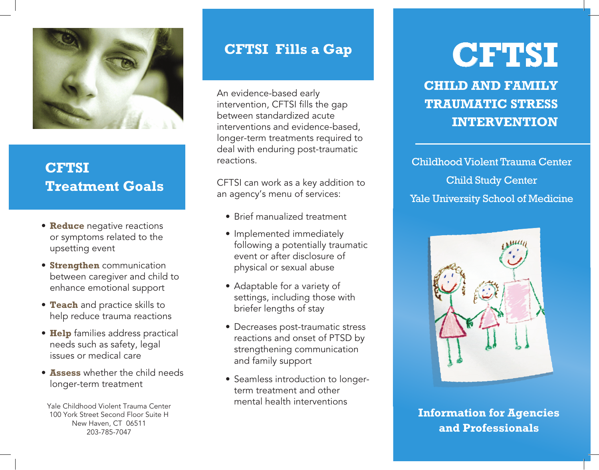

## **CFTSI Treatment Goals**

- **Reduce** negative reactions or symptoms related to the upsetting event
- **Strengthen** communication between caregiver and child to enhance emotional support
- **Teach** and practice skills to help reduce trauma reactions
- **Help** families address practical needs such as safety, legal issues or medical care
- • **Assess** whether the child needs longer-term treatment

Yale Childhood Violent Trauma Center 100 York Street Second Floor Suite H New Haven, CT 06511 203-785-7047

## **CFTSI Fills a Gap**

An evidence-based early intervention, CFTSI fills the gap between standardized acute interventions and evidence-based, longer-term treatments required to deal with enduring post-traumatic reactions.

CFTSI can work as a key addition to an agency's menu of services:

- Brief manualized treatment
- Implemented immediately following a potentially traumatic event or after disclosure of physical or sexual abuse
- Adaptable for a variety of settings, including those with briefer lengths of stay
- Decreases post-traumatic stress reactions and onset of PTSD by strengthening communication and family support
- Seamless introduction to longerterm treatment and other mental health interventions

# **CFTSI**

**CHILD AND FAMILY TRAUMATIC STRESS INTERVENTION**

Childhood Violent Trauma Center Child Study Center Yale University School of Medicine



**Information for Agencies and Professionals**